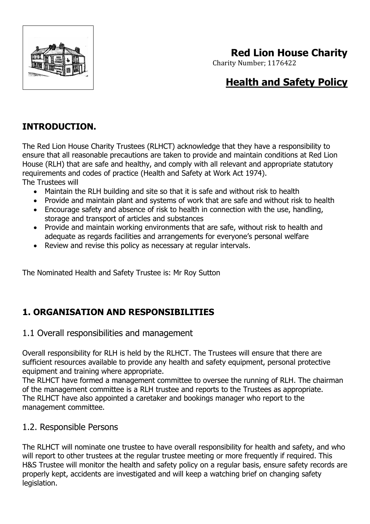

# **Red Lion House Charity**

Charity Number; 1176422

# **Health and Safety Policy**

## **INTRODUCTION.**

The Red Lion House Charity Trustees (RLHCT) acknowledge that they have a responsibility to ensure that all reasonable precautions are taken to provide and maintain conditions at Red Lion House (RLH) that are safe and healthy, and comply with all relevant and appropriate statutory requirements and codes of practice (Health and Safety at Work Act 1974). The Trustees will

- Maintain the RLH building and site so that it is safe and without risk to health
- Provide and maintain plant and systems of work that are safe and without risk to health
- Encourage safety and absence of risk to health in connection with the use, handling, storage and transport of articles and substances
- Provide and maintain working environments that are safe, without risk to health and adequate as regards facilities and arrangements for everyone's personal welfare
- Review and revise this policy as necessary at regular intervals.

The Nominated Health and Safety Trustee is: Mr Roy Sutton

### **1. ORGANISATION AND RESPONSIBILITIES**

#### 1.1 Overall responsibilities and management

Overall responsibility for RLH is held by the RLHCT. The Trustees will ensure that there are sufficient resources available to provide any health and safety equipment, personal protective equipment and training where appropriate.

The RLHCT have formed a management committee to oversee the running of RLH. The chairman of the management committee is a RLH trustee and reports to the Trustees as appropriate. The RLHCT have also appointed a caretaker and bookings manager who report to the management committee.

#### 1.2. Responsible Persons

The RLHCT will nominate one trustee to have overall responsibility for health and safety, and who will report to other trustees at the regular trustee meeting or more frequently if required. This H&S Trustee will monitor the health and safety policy on a regular basis, ensure safety records are properly kept, accidents are investigated and will keep a watching brief on changing safety legislation.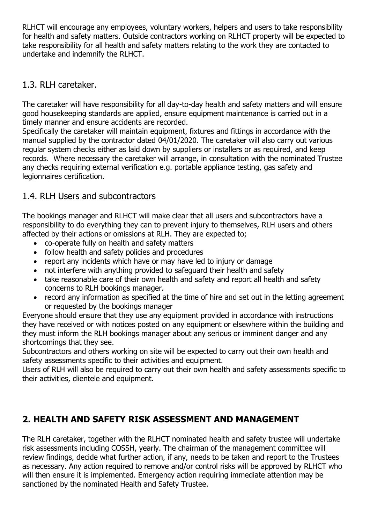RLHCT will encourage any employees, voluntary workers, helpers and users to take responsibility for health and safety matters. Outside contractors working on RLHCT property will be expected to take responsibility for all health and safety matters relating to the work they are contacted to undertake and indemnify the RLHCT.

#### 1.3. RLH caretaker.

The caretaker will have responsibility for all day-to-day health and safety matters and will ensure good housekeeping standards are applied, ensure equipment maintenance is carried out in a timely manner and ensure accidents are recorded.

Specifically the caretaker will maintain equipment, fixtures and fittings in accordance with the manual supplied by the contractor dated 04/01/2020. The caretaker will also carry out various regular system checks either as laid down by suppliers or installers or as required, and keep records. Where necessary the caretaker will arrange, in consultation with the nominated Trustee any checks requiring external verification e.g. portable appliance testing, gas safety and legionnaires certification.

### 1.4. RLH Users and subcontractors

The bookings manager and RLHCT will make clear that all users and subcontractors have a responsibility to do everything they can to prevent injury to themselves, RLH users and others affected by their actions or omissions at RLH. They are expected to;

- co-operate fully on health and safety matters
- follow health and safety policies and procedures
- report any incidents which have or may have led to injury or damage
- not interfere with anything provided to safeguard their health and safety
- take reasonable care of their own health and safety and report all health and safety concerns to RLH bookings manager.
- record any information as specified at the time of hire and set out in the letting agreement or requested by the bookings manager

Everyone should ensure that they use any equipment provided in accordance with instructions they have received or with notices posted on any equipment or elsewhere within the building and they must inform the RLH bookings manager about any serious or imminent danger and any shortcomings that they see.

Subcontractors and others working on site will be expected to carry out their own health and safety assessments specific to their activities and equipment.

Users of RLH will also be required to carry out their own health and safety assessments specific to their activities, clientele and equipment.

## **2. HEALTH AND SAFETY RISK ASSESSMENT AND MANAGEMENT**

The RLH caretaker, together with the RLHCT nominated health and safety trustee will undertake risk assessments including COSSH, yearly. The chairman of the management committee will review findings, decide what further action, if any, needs to be taken and report to the Trustees as necessary. Any action required to remove and/or control risks will be approved by RLHCT who will then ensure it is implemented. Emergency action requiring immediate attention may be sanctioned by the nominated Health and Safety Trustee.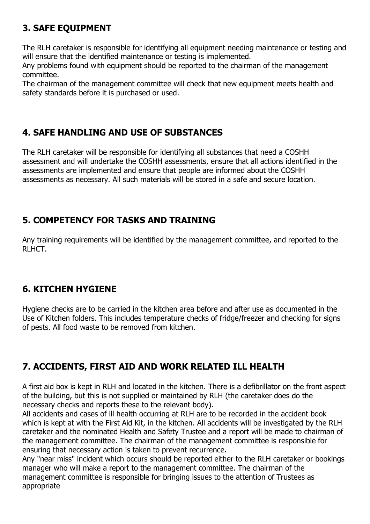## **3. SAFE EQUIPMENT**

The RLH caretaker is responsible for identifying all equipment needing maintenance or testing and will ensure that the identified maintenance or testing is implemented.

Any problems found with equipment should be reported to the chairman of the management committee.

The chairman of the management committee will check that new equipment meets health and safety standards before it is purchased or used.

### **4. SAFE HANDLING AND USE OF SUBSTANCES**

The RLH caretaker will be responsible for identifying all substances that need a COSHH assessment and will undertake the COSHH assessments, ensure that all actions identified in the assessments are implemented and ensure that people are informed about the COSHH assessments as necessary. All such materials will be stored in a safe and secure location.

## **5. COMPETENCY FOR TASKS AND TRAINING**

Any training requirements will be identified by the management committee, and reported to the RLHCT.

### **6. KITCHEN HYGIENE**

Hygiene checks are to be carried in the kitchen area before and after use as documented in the Use of Kitchen folders. This includes temperature checks of fridge/freezer and checking for signs of pests. All food waste to be removed from kitchen.

## **7. ACCIDENTS, FIRST AID AND WORK RELATED ILL HEALTH**

A first aid box is kept in RLH and located in the kitchen. There is a defibrillator on the front aspect of the building, but this is not supplied or maintained by RLH (the caretaker does do the necessary checks and reports these to the relevant body).

All accidents and cases of ill health occurring at RLH are to be recorded in the accident book which is kept at with the First Aid Kit, in the kitchen. All accidents will be investigated by the RLH caretaker and the nominated Health and Safety Trustee and a report will be made to chairman of the management committee. The chairman of the management committee is responsible for ensuring that necessary action is taken to prevent recurrence.

Any "near miss" incident which occurs should be reported either to the RLH caretaker or bookings manager who will make a report to the management committee. The chairman of the management committee is responsible for bringing issues to the attention of Trustees as appropriate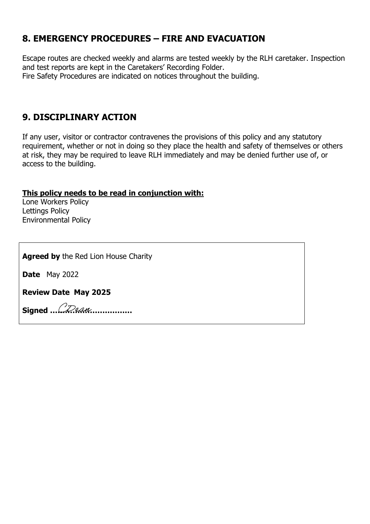#### **8. EMERGENCY PROCEDURES – FIRE AND EVACUATION**

Escape routes are checked weekly and alarms are tested weekly by the RLH caretaker. Inspection and test reports are kept in the Caretakers' Recording Folder. Fire Safety Procedures are indicated on notices throughout the building.

#### **9. DISCIPLINARY ACTION**

If any user, visitor or contractor contravenes the provisions of this policy and any statutory requirement, whether or not in doing so they place the health and safety of themselves or others at risk, they may be required to leave RLH immediately and may be denied further use of, or access to the building.

#### **This policy needs to be read in conjunction with:**

Lone Workers Policy Lettings Policy Environmental Policy

**Agreed by** the Red Lion House Charity

**Date** May 2022

**Review Date May 2025**

**Signed ……………………………**